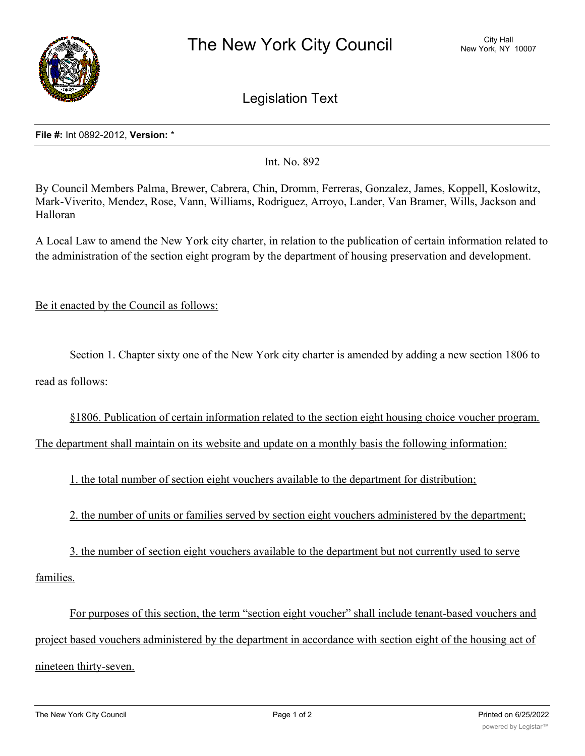

Legislation Text

## **File #:** Int 0892-2012, **Version:** \*

Int. No. 892

By Council Members Palma, Brewer, Cabrera, Chin, Dromm, Ferreras, Gonzalez, James, Koppell, Koslowitz, Mark-Viverito, Mendez, Rose, Vann, Williams, Rodriguez, Arroyo, Lander, Van Bramer, Wills, Jackson and Halloran

A Local Law to amend the New York city charter, in relation to the publication of certain information related to the administration of the section eight program by the department of housing preservation and development.

Be it enacted by the Council as follows:

Section 1. Chapter sixty one of the New York city charter is amended by adding a new section 1806 to read as follows:

§1806. Publication of certain information related to the section eight housing choice voucher program.

The department shall maintain on its website and update on a monthly basis the following information:

1. the total number of section eight vouchers available to the department for distribution;

2. the number of units or families served by section eight vouchers administered by the department;

3. the number of section eight vouchers available to the department but not currently used to serve families.

For purposes of this section, the term "section eight voucher" shall include tenant-based vouchers and project based vouchers administered by the department in accordance with section eight of the housing act of nineteen thirty-seven.